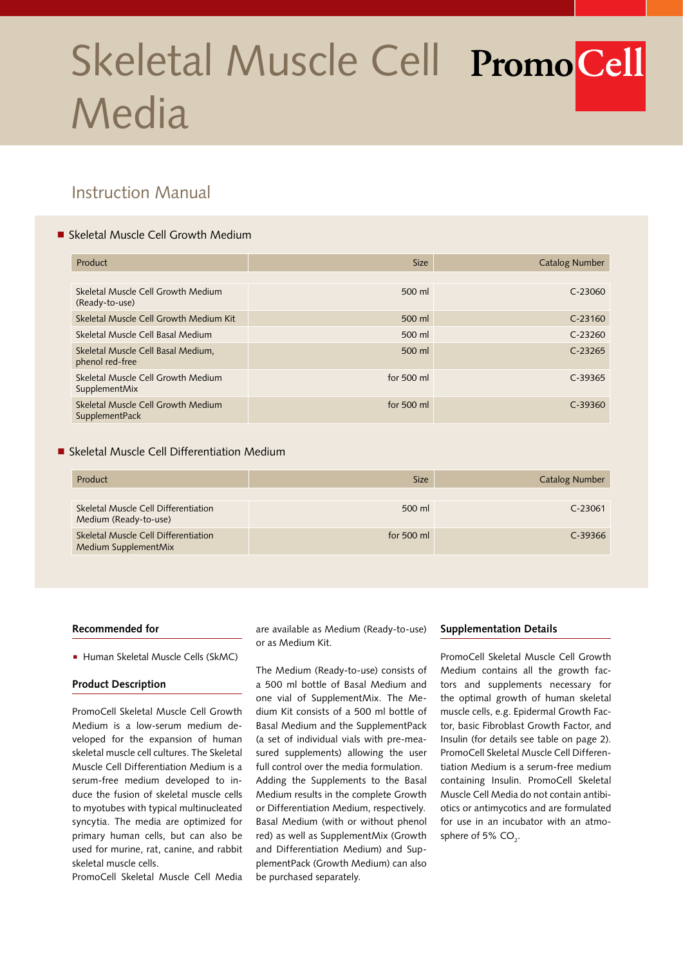# Skeletal Muscle Cell PromoCell Media

# Instruction Manual

# ■ Skeletal Muscle Cell Growth Medium

| Product                                               | <b>Size</b>  | <b>Catalog Number</b> |
|-------------------------------------------------------|--------------|-----------------------|
|                                                       |              |                       |
| Skeletal Muscle Cell Growth Medium<br>(Ready-to-use)  | 500 ml       | C-23060               |
| Skeletal Muscle Cell Growth Medium Kit                | 500 ml       | $C-23160$             |
| Skeletal Muscle Cell Basal Medium                     | 500 ml       | $C-23260$             |
| Skeletal Muscle Cell Basal Medium,<br>phenol red-free | 500 ml       | $C-23265$             |
| Skeletal Muscle Cell Growth Medium<br>SupplementMix   | for 500 ml   | $C-39365$             |
| Skeletal Muscle Cell Growth Medium<br>SupplementPack  | for $500$ ml | $C-39360$             |

# **Skeletal Muscle Cell Differentiation Medium**

| Product                                                       | <b>Size</b>  | <b>Catalog Number</b> |
|---------------------------------------------------------------|--------------|-----------------------|
|                                                               |              |                       |
| Skeletal Muscle Cell Differentiation<br>Medium (Ready-to-use) | 500 ml       | $C-23061$             |
| Skeletal Muscle Cell Differentiation<br>Medium SupplementMix  | for $500$ ml | $C-39366$             |

#### **Recommended for**

Human Skeletal Muscle Cells (SkMC)

#### **Product Description**

PromoCell Skeletal Muscle Cell Growth Medium is a low-serum medium developed for the expansion of human skeletal muscle cell cultures. The Skeletal Muscle Cell Differentiation Medium is a serum-free medium developed to induce the fusion of skeletal muscle cells to myotubes with typical multinucleated syncytia. The media are optimized for primary human cells, but can also be used for murine, rat, canine, and rabbit skeletal muscle cells.

PromoCell Skeletal Muscle Cell Media

are available as Medium (Ready-to-use) or as Medium Kit.

The Medium (Ready-to-use) consists of a 500 ml bottle of Basal Medium and one vial of SupplementMix. The Medium Kit consists of a 500 ml bottle of Basal Medium and the SupplementPack (a set of individual vials with pre-measured supplements) allowing the user full control over the media formulation. Adding the Supplements to the Basal Medium results in the complete Growth or Differentiation Medium, respectively. Basal Medium (with or without phenol red) as well as SupplementMix (Growth and Differentiation Medium) and SupplementPack (Growth Medium) can also be purchased separately.

#### **Supplementation Details**

PromoCell Skeletal Muscle Cell Growth Medium contains all the growth factors and supplements necessary for the optimal growth of human skeletal muscle cells, e.g. Epidermal Growth Factor, basic Fibroblast Growth Factor, and Insulin (for details see table on page 2). PromoCell Skeletal Muscle Cell Differentiation Medium is a serum-free medium containing Insulin. PromoCell Skeletal Muscle Cell Media do not contain antibiotics or antimycotics and are formulated for use in an incubator with an atmosphere of 5%  $\mathsf{CO}_2$ .